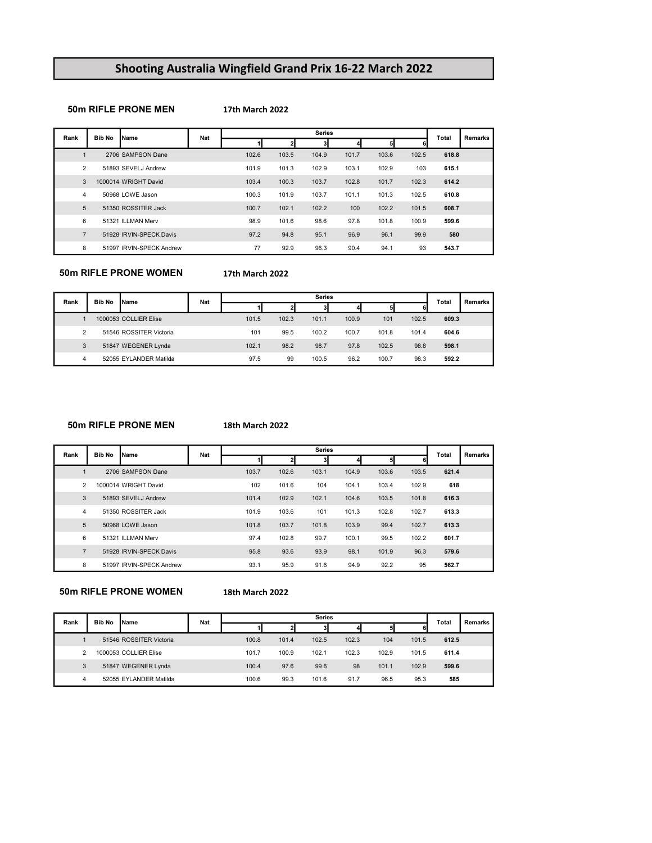# Shooting Australia Wingfield Grand Prix 16-22 March 2022

# 50m RIFLE PRONE MEN

#### 17th March 2022

| Rank           | <b>Bib No</b> | Name                     | Nat |       |       | <b>Series</b> |       |       |       | Total | <b>Remarks</b> |
|----------------|---------------|--------------------------|-----|-------|-------|---------------|-------|-------|-------|-------|----------------|
|                |               |                          |     |       |       | 3             |       |       |       |       |                |
| $\overline{1}$ |               | 2706 SAMPSON Dane        |     | 102.6 | 103.5 | 104.9         | 101.7 | 103.6 | 102.5 | 618.8 |                |
| $\overline{2}$ |               | 51893 SEVELJ Andrew      |     | 101.9 | 101.3 | 102.9         | 103.1 | 102.9 | 103   | 615.1 |                |
| 3              |               | 1000014 WRIGHT David     |     | 103.4 | 100.3 | 103.7         | 102.8 | 101.7 | 102.3 | 614.2 |                |
| 4              |               | 50968 LOWE Jason         |     | 100.3 | 101.9 | 103.7         | 101.1 | 101.3 | 102.5 | 610.8 |                |
| 5              |               | 51350 ROSSITER Jack      |     | 100.7 | 102.1 | 102.2         | 100   | 102.2 | 101.5 | 608.7 |                |
| 6              |               | 51321 ILLMAN Merv        |     | 98.9  | 101.6 | 98.6          | 97.8  | 101.8 | 100.9 | 599.6 |                |
| $\overline{7}$ |               | 51928 IRVIN-SPECK Davis  |     | 97.2  | 94.8  | 95.1          | 96.9  | 96.1  | 99.9  | 580   |                |
| 8              |               | 51997 IRVIN-SPECK Andrew |     | 77    | 92.9  | 96.3          | 90.4  | 94.1  | 93    | 543.7 |                |

50m RIFLE PRONE WOMEN

# 17th March 2022

| Rank           | <b>Bib No</b> | Name                    | Nat |       |       | <b>Series</b> |       |       |       | <b>Total</b> | Remarks |
|----------------|---------------|-------------------------|-----|-------|-------|---------------|-------|-------|-------|--------------|---------|
|                |               |                         |     |       |       | 31            |       |       |       |              |         |
|                |               | 1000053 COLLIER Elise   |     | 101.5 | 102.3 | 101.1         | 100.9 | 101   | 102.5 | 609.3        |         |
| $\overline{2}$ |               | 51546 ROSSITER Victoria |     | 101   | 99.5  | 100.2         | 100.7 | 101.8 | 101.4 | 604.6        |         |
| 3              |               | 51847 WEGENER Lynda     |     | 102.1 | 98.2  | 98.7          | 97.8  | 102.5 | 98.8  | 598.1        |         |
| 4              |               | 52055 EYLANDER Matilda  |     | 97.5  | 99    | 100.5         | 96.2  | 100.7 | 98.3  | 592.2        |         |

#### 50m RIFLE PRONE MEN

#### 18th March 2022

| Rank           | <b>Bib No</b> | Name                     | Nat |       |       | <b>Series</b> |       |       |       | Total | Remarks |
|----------------|---------------|--------------------------|-----|-------|-------|---------------|-------|-------|-------|-------|---------|
|                |               |                          |     |       |       | 3             |       | 51    | 6l    |       |         |
|                |               | 2706 SAMPSON Dane        |     | 103.7 | 102.6 | 103.1         | 104.9 | 103.6 | 103.5 | 621.4 |         |
| $\mathfrak{p}$ |               | 1000014 WRIGHT David     |     | 102   | 101.6 | 104           | 104.1 | 103.4 | 102.9 | 618   |         |
| 3              |               | 51893 SEVELJ Andrew      |     | 101.4 | 102.9 | 102.1         | 104.6 | 103.5 | 101.8 | 616.3 |         |
| 4              |               | 51350 ROSSITER Jack      |     | 101.9 | 103.6 | 101           | 101.3 | 102.8 | 102.7 | 613.3 |         |
| 5              |               | 50968 LOWE Jason         |     | 101.8 | 103.7 | 101.8         | 103.9 | 99.4  | 102.7 | 613.3 |         |
| 6              |               | 51321 ILLMAN Merv        |     | 97.4  | 102.8 | 99.7          | 100.1 | 99.5  | 102.2 | 601.7 |         |
| $\overline{7}$ |               | 51928 IRVIN-SPECK Davis  |     | 95.8  | 93.6  | 93.9          | 98.1  | 101.9 | 96.3  | 579.6 |         |
| 8              |               | 51997 IRVIN-SPECK Andrew |     | 93.1  | 95.9  | 91.6          | 94.9  | 92.2  | 95    | 562.7 |         |

50m RIFLE PRONE WOMEN

18th March 2022

| Rank           | <b>Bib No</b> | <b>Name</b>             | <b>Nat</b> |       |       | <b>Series</b> |       |       |       | Total | Remarks |
|----------------|---------------|-------------------------|------------|-------|-------|---------------|-------|-------|-------|-------|---------|
|                |               |                         |            |       |       |               |       | 51    | 6     |       |         |
|                |               | 51546 ROSSITER Victoria |            | 100.8 | 101.4 | 102.5         | 102.3 | 104   | 101.5 | 612.5 |         |
| $\overline{2}$ |               | 1000053 COLLIER Elise   |            | 101.7 | 100.9 | 102.1         | 102.3 | 102.9 | 101.5 | 611.4 |         |
| 3              |               | 51847 WEGENER Lynda     |            | 100.4 | 97.6  | 99.6          | 98    | 101.1 | 102.9 | 599.6 |         |
| 4              |               | 52055 EYLANDER Matilda  |            | 100.6 | 99.3  | 101.6         | 91.7  | 96.5  | 95.3  | 585   |         |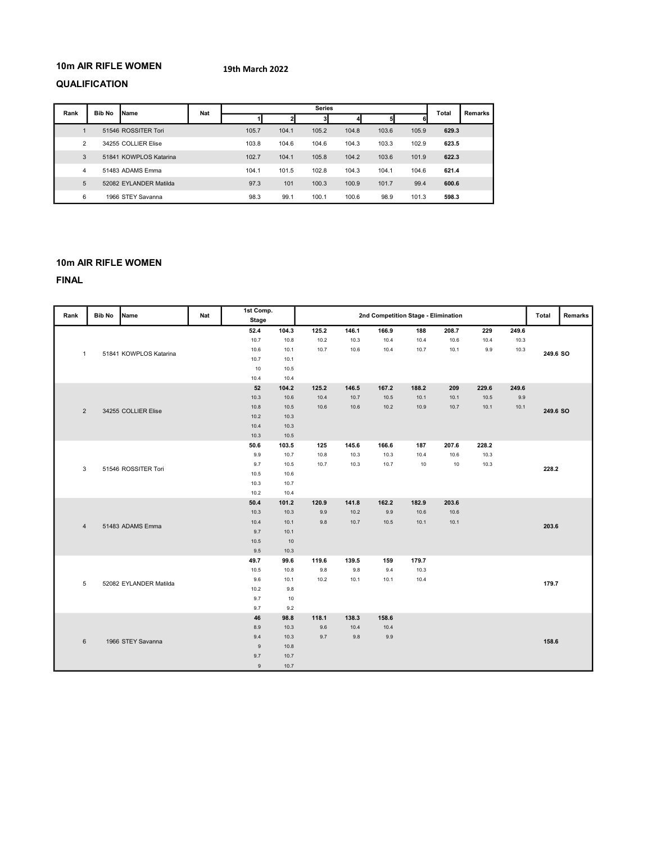# 10m AIR RIFLE WOMEN

### 19th March 2022

# QUALIFICATION

| Rank           | <b>Bib No</b> | Name                   | Nat |       |       | <b>Series</b> |       |       |       | Total | Remarks |
|----------------|---------------|------------------------|-----|-------|-------|---------------|-------|-------|-------|-------|---------|
|                |               |                        |     |       |       |               |       |       |       |       |         |
|                |               | 51546 ROSSITER Tori    |     | 105.7 | 104.1 | 105.2         | 104.8 | 103.6 | 105.9 | 629.3 |         |
| $\overline{2}$ |               | 34255 COLLIER Elise    |     | 103.8 | 104.6 | 104.6         | 104.3 | 103.3 | 102.9 | 623.5 |         |
| 3              |               | 51841 KOWPLOS Katarina |     | 102.7 | 104.1 | 105.8         | 104.2 | 103.6 | 101.9 | 622.3 |         |
| 4              |               | 51483 ADAMS Emma       |     | 104.1 | 101.5 | 102.8         | 104.3 | 104.1 | 104.6 | 621.4 |         |
| 5              |               | 52082 EYLANDER Matilda |     | 97.3  | 101   | 100.3         | 100.9 | 101.7 | 99.4  | 600.6 |         |
| 6              |               | 1966 STEY Savanna      |     | 98.3  | 99.1  | 100.1         | 100.6 | 98.9  | 101.3 | 598.3 |         |

# 10m AIR RIFLE WOMEN

|                |               |                        |            | 1st Comp.    |       |       |       |       |                                     |       |       |       |          |         |
|----------------|---------------|------------------------|------------|--------------|-------|-------|-------|-------|-------------------------------------|-------|-------|-------|----------|---------|
| Rank           | <b>Bib No</b> | Name                   | <b>Nat</b> | <b>Stage</b> |       |       |       |       | 2nd Competition Stage - Elimination |       |       |       | Total    | Remarks |
|                |               |                        |            | 52.4         | 104.3 | 125.2 | 146.1 | 166.9 | 188                                 | 208.7 | 229   | 249.6 |          |         |
|                |               |                        |            | 10.7         | 10.8  | 10.2  | 10.3  | 10.4  | 10.4                                | 10.6  | 10.4  | 10.3  |          |         |
| $\mathbf{1}$   |               | 51841 KOWPLOS Katarina |            | 10.6         | 10.1  | 10.7  | 10.6  | 10.4  | 10.7                                | 10.1  | 9.9   | 10.3  | 249.6 SO |         |
|                |               |                        |            | 10.7         | 10.1  |       |       |       |                                     |       |       |       |          |         |
|                |               |                        |            | 10           | 10.5  |       |       |       |                                     |       |       |       |          |         |
|                |               |                        |            | 10.4         | 10.4  |       |       |       |                                     |       |       |       |          |         |
|                |               |                        |            | 52           | 104.2 | 125.2 | 146.5 | 167.2 | 188.2                               | 209   | 229.6 | 249.6 |          |         |
|                |               |                        |            | 10.3         | 10.6  | 10.4  | 10.7  | 10.5  | 10.1                                | 10.1  | 10.5  | 9.9   |          |         |
| $\overline{2}$ |               | 34255 COLLIER Elise    |            | 10.8         | 10.5  | 10.6  | 10.6  | 10.2  | 10.9                                | 10.7  | 10.1  | 10.1  | 249.6 SO |         |
|                |               |                        |            | 10.2         | 10.3  |       |       |       |                                     |       |       |       |          |         |
|                |               |                        |            | 10.4         | 10.3  |       |       |       |                                     |       |       |       |          |         |
|                |               |                        |            | 10.3         | 10.5  |       |       |       |                                     |       |       |       |          |         |
|                |               |                        |            | 50.6         | 103.5 | 125   | 145.6 | 166.6 | 187                                 | 207.6 | 228.2 |       |          |         |
|                |               |                        |            | 9.9          | 10.7  | 10.8  | 10.3  | 10.3  | 10.4                                | 10.6  | 10.3  |       |          |         |
| 3              |               | 51546 ROSSITER Tori    |            | 9.7          | 10.5  | 10.7  | 10.3  | 10.7  | 10                                  | 10    | 10.3  |       | 228.2    |         |
|                |               |                        |            | 10.5         | 10.6  |       |       |       |                                     |       |       |       |          |         |
|                |               |                        |            | 10.3         | 10.7  |       |       |       |                                     |       |       |       |          |         |
|                |               |                        | 10.2       | 10.4         |       |       |       |       |                                     |       |       |       |          |         |
|                |               |                        |            | 50.4         | 101.2 | 120.9 | 141.8 | 162.2 | 182.9                               | 203.6 |       |       |          |         |
|                |               |                        |            | 10.3         | 10.3  | 9.9   | 10.2  | 9.9   | 10.6                                | 10.6  |       |       |          |         |
|                |               | 51483 ADAMS Emma       |            | 10.4         | 10.1  | 9.8   | 10.7  | 10.5  | 10.1                                | 10.1  |       |       |          |         |
| $\overline{4}$ |               |                        |            | 9.7          | 10.1  |       |       |       |                                     |       |       |       | 203.6    |         |
|                |               |                        |            | 10.5         | 10    |       |       |       |                                     |       |       |       |          |         |
|                |               |                        |            | 9.5          | 10.3  |       |       |       |                                     |       |       |       |          |         |
|                |               |                        |            | 49.7         | 99.6  | 119.6 | 139.5 | 159   | 179.7                               |       |       |       |          |         |
|                |               |                        |            | 10.5         | 10.8  | 9.8   | 9.8   | 9.4   | 10.3                                |       |       |       |          |         |
|                |               |                        |            | 9.6          | 10.1  | 10.2  | 10.1  | 10.1  | 10.4                                |       |       |       |          |         |
| $\,$ 5 $\,$    |               | 52082 EYLANDER Matilda |            | 10.2         | 9.8   |       |       |       |                                     |       |       |       | 179.7    |         |
|                |               |                        |            | 9.7          | $10$  |       |       |       |                                     |       |       |       |          |         |
|                |               |                        |            | 9.7          | 9.2   |       |       |       |                                     |       |       |       |          |         |
|                |               |                        |            | 46           | 98.8  | 118.1 | 138.3 | 158.6 |                                     |       |       |       |          |         |
|                |               |                        |            | 8.9          | 10.3  | 9.6   | 10.4  | 10.4  |                                     |       |       |       |          |         |
|                |               |                        |            | 9.4          | 10.3  | 9.7   | 9.8   | 9.9   |                                     |       |       |       |          |         |
| 6              |               | 1966 STEY Savanna      |            | $\mathsf{9}$ | 10.8  |       |       |       |                                     |       |       |       | 158.6    |         |
|                |               |                        |            | 9.7          | 10.7  |       |       |       |                                     |       |       |       |          |         |
|                |               |                        |            | $\mathsf g$  | 10.7  |       |       |       |                                     |       |       |       |          |         |
|                |               |                        |            |              |       |       |       |       |                                     |       |       |       |          |         |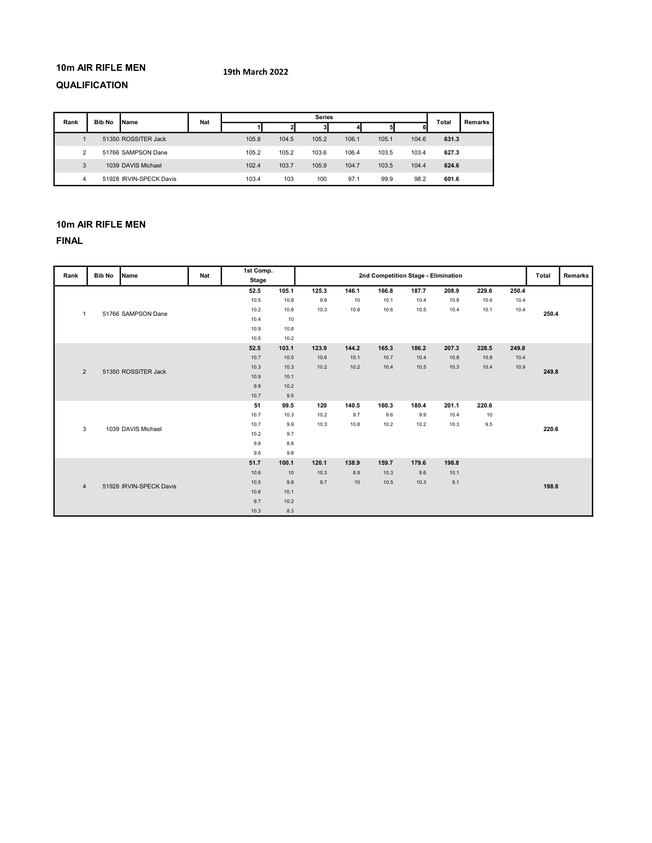# 10m AIR RIFLE MEN

# 19th March 2022

# QUALIFICATION

| Rank | <b>Bib No</b> | <b>IName</b>            | Nat |       |       | <b>Series</b> |       |       |       | Total | Remarks |
|------|---------------|-------------------------|-----|-------|-------|---------------|-------|-------|-------|-------|---------|
|      |               |                         |     |       |       |               |       |       | 6     |       |         |
|      |               | 51350 ROSSITER Jack     |     | 105.8 | 104.5 | 105.2         | 106.1 | 105.1 | 104.6 | 631.3 |         |
| ◠    |               | 51766 SAMPSON Dane      |     | 105.2 | 105.2 | 103.6         | 106.4 | 103.5 | 103.4 | 627.3 |         |
| 3    |               | 1039 DAVIS Michael      |     | 102.4 | 103.7 | 105.9         | 104.7 | 103.5 | 104.4 | 624.6 |         |
|      |               | 51928 IRVIN-SPECK Davis |     | 103.4 | 103   | 100           | 97.1  | 99.9  | 98.2  | 601.6 |         |

# 10m AIR RIFLE MEN

| Rank           | <b>Bib No</b> | Name                    | Nat | 1st Comp.<br>Stage |       |       |         |       | 2nd Competition Stage - Elimination |       |       |       | Total | <b>Remarks</b> |
|----------------|---------------|-------------------------|-----|--------------------|-------|-------|---------|-------|-------------------------------------|-------|-------|-------|-------|----------------|
|                |               |                         |     | 52.5               | 105.1 | 125.3 | 146.1   | 166.8 | 187.7                               | 208.9 | 229.6 | 250.4 |       |                |
|                |               |                         |     | 10.5               | 10.8  | 9.9   | $10$    | 10.1  | 10.4                                | 10.8  | 10.6  | 10.4  |       |                |
| $\mathbf{1}$   |               | 51766 SAMPSON Dane      |     | 10.2               | 10.8  | 10.3  | 10.8    | 10.6  | 10.5                                | 10.4  | 10.1  | 10.4  | 250.4 |                |
|                |               |                         |     | 10.4               | 10    |       |         |       |                                     |       |       |       |       |                |
|                |               |                         |     | 10.9               | 10.8  |       |         |       |                                     |       |       |       |       |                |
|                |               |                         |     | 10.5               | 10.2  |       |         |       |                                     |       |       |       |       |                |
|                |               |                         |     | 52.5               | 103.1 | 123.9 | 144.2   | 165.3 | 186.2                               | 207.3 | 228.5 | 249.8 |       |                |
|                |               |                         |     | 10.7               | 10.5  | 10.6  | 10.1    | 10.7  | 10.4                                | 10.8  | 10.8  | 10.4  |       |                |
| $\overline{2}$ |               | 51350 ROSSITER Jack     |     | 10.3               | 10.3  | 10.2  | 10.2    | 10.4  | 10.5                                | 10.3  | 10.4  | 10.9  | 249.8 |                |
|                |               |                         |     | 10.9               | 10.1  |       |         |       |                                     |       |       |       |       |                |
|                |               |                         |     | 9.9                | 10.2  |       |         |       |                                     |       |       |       |       |                |
|                |               |                         |     | 10.7               | 9.5   |       |         |       |                                     |       |       |       |       |                |
|                |               |                         |     | 51                 | 99.5  | 120   | 140.5   | 160.3 | 180.4                               | 201.1 | 220.6 |       |       |                |
|                |               |                         |     | 10.7               | 10.3  | 10.2  | 9.7     | 9.6   | 9.9                                 | 10.4  | 10    |       |       |                |
| 3              |               | 1039 DAVIS Michael      |     | 10.7               | 9.9   | 10.3  | 10.8    | 10.2  | 10.2                                | 10.3  | 9.5   |       | 220.6 |                |
|                |               |                         |     | 10.2               | 9.7   |       |         |       |                                     |       |       |       |       |                |
|                |               |                         |     | 9.8                | 8.8   |       |         |       |                                     |       |       |       |       |                |
|                |               |                         |     | 9.6                | 9.8   |       |         |       |                                     |       |       |       |       |                |
|                |               |                         |     | 51.7               | 100.1 | 120.1 | 138.9   | 159.7 | 179.6                               | 198.8 |       |       |       |                |
|                |               |                         |     | 10.6               | 10    | 10.3  | $8.8\,$ | 10.3  | 9.6                                 | 10.1  |       |       |       |                |
| $\overline{4}$ |               | 51928 IRVIN-SPECK Davis |     | 10.5               | 9.8   | 9.7   | 10      | 10.5  | 10.3                                | 9.1   |       |       | 198.8 |                |
|                |               |                         |     | 10.6               | 10.1  |       |         |       |                                     |       |       |       |       |                |
|                |               |                         |     | 9.7                | 10.2  |       |         |       |                                     |       |       |       |       |                |
|                |               |                         |     | 10.3               | 8.3   |       |         |       |                                     |       |       |       |       |                |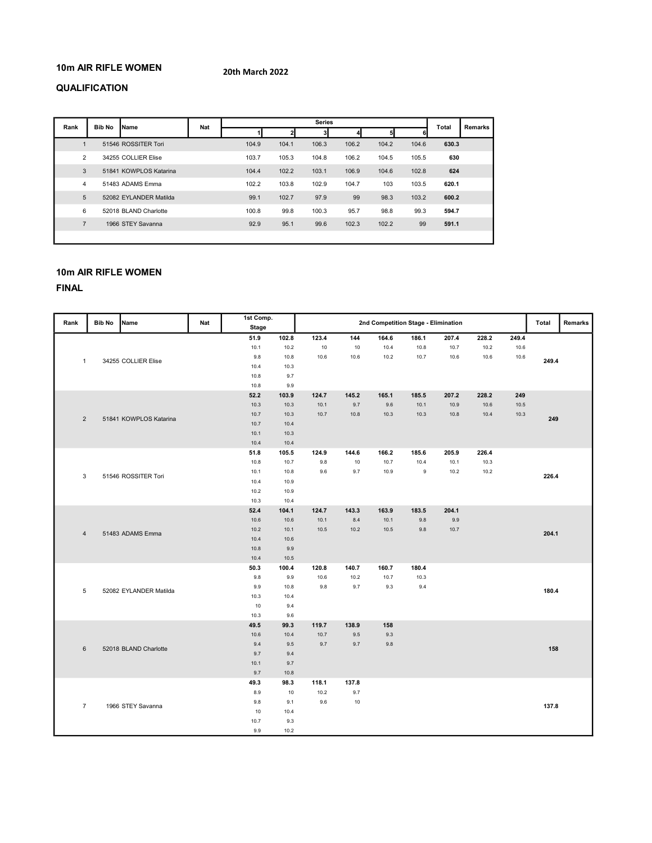# 10m AIR RIFLE WOMEN

20th March 2022

# QUALIFICATION

| Rank           | <b>Bib No</b> | <b>Name</b>            | <b>Nat</b> |       |       | <b>Series</b> |       |       |       | Total | Remarks |
|----------------|---------------|------------------------|------------|-------|-------|---------------|-------|-------|-------|-------|---------|
|                |               |                        |            |       |       |               |       |       |       |       |         |
|                |               | 51546 ROSSITER Tori    |            | 104.9 | 104.1 | 106.3         | 106.2 | 104.2 | 104.6 | 630.3 |         |
| $\overline{2}$ |               | 34255 COLLIER Elise    |            | 103.7 | 105.3 | 104.8         | 106.2 | 104.5 | 105.5 | 630   |         |
| 3              |               | 51841 KOWPLOS Katarina |            | 104.4 | 102.2 | 103.1         | 106.9 | 104.6 | 102.8 | 624   |         |
| 4              |               | 51483 ADAMS Emma       |            | 102.2 | 103.8 | 102.9         | 104.7 | 103   | 103.5 | 620.1 |         |
| 5              |               | 52082 EYLANDER Matilda |            | 99.1  | 102.7 | 97.9          | 99    | 98.3  | 103.2 | 600.2 |         |
| 6              |               | 52018 BLAND Charlotte  |            | 100.8 | 99.8  | 100.3         | 95.7  | 98.8  | 99.3  | 594.7 |         |
| $\overline{7}$ |               | 1966 STEY Savanna      |            | 92.9  | 95.1  | 99.6          | 102.3 | 102.2 | 99    | 591.1 |         |
|                |               |                        |            |       |       |               |       |       |       |       |         |

# 10m AIR RIFLE WOMEN

| Rank           | <b>Bib No</b> | Name                   | Nat | 1st Comp.    |       |               |         | 2nd Competition Stage - Elimination |             |       |       |       | Total | Remarks |
|----------------|---------------|------------------------|-----|--------------|-------|---------------|---------|-------------------------------------|-------------|-------|-------|-------|-------|---------|
|                |               |                        |     | <b>Stage</b> |       |               |         |                                     |             |       |       |       |       |         |
|                |               |                        |     | 51.9         | 102.8 | 123.4         | 144     | 164.6                               | 186.1       | 207.4 | 228.2 | 249.4 |       |         |
|                |               |                        |     | 10.1         | 10.2  | 10            | 10      | 10.4                                | 10.8        | 10.7  | 10.2  | 10.6  |       |         |
|                |               |                        |     | 9.8          | 10.8  | 10.6          | 10.6    | 10.2                                | 10.7        | 10.6  | 10.6  | 10.6  |       |         |
| $\mathbf{1}$   |               | 34255 COLLIER Elise    |     | 10.4         | 10.3  |               |         |                                     |             |       |       |       | 249.4 |         |
|                |               |                        |     | 10.8         | 9.7   |               |         |                                     |             |       |       |       |       |         |
|                |               |                        |     | 10.8         | 9.9   |               |         |                                     |             |       |       |       |       |         |
|                |               |                        |     | 52.2         | 103.9 | 124.7         | 145.2   | 165.1                               | 185.5       | 207.2 | 228.2 | 249   |       |         |
|                |               |                        |     | 10.3         | 10.3  | 10.1          | 9.7     | 9.6                                 | 10.1        | 10.9  | 10.6  | 10.5  |       |         |
|                |               |                        |     | 10.7         | 10.3  | 10.7          | 10.8    | 10.3                                | 10.3        | 10.8  | 10.4  | 10.3  |       |         |
| $\overline{2}$ |               | 51841 KOWPLOS Katarina |     | 10.7         | 10.4  |               |         |                                     |             |       |       |       | 249   |         |
|                |               |                        |     | 10.1         | 10.3  |               |         |                                     |             |       |       |       |       |         |
|                |               |                        |     | 10.4         | 10.4  |               |         |                                     |             |       |       |       |       |         |
|                |               |                        |     | 51.8         | 105.5 | 124.9         | 144.6   | 166.2                               | 185.6       | 205.9 | 226.4 |       |       |         |
|                |               |                        |     | 10.8         | 10.7  | 9.8           | 10      | 10.7                                | 10.4        | 10.1  | 10.3  |       |       |         |
|                |               |                        |     | 10.1         | 10.8  | 9.6           | 9.7     | 10.9                                | $\mathsf g$ | 10.2  | 10.2  |       |       |         |
| 3              |               | 51546 ROSSITER Tori    |     | 10.4         | 10.9  |               |         |                                     |             |       |       |       | 226.4 |         |
|                |               |                        |     | 10.2         | 10.9  |               |         |                                     |             |       |       |       |       |         |
|                |               |                        |     | 10.3         | 10.4  |               |         |                                     |             |       |       |       |       |         |
|                |               |                        |     | 52.4         | 104.1 | 124.7         | 143.3   | 163.9                               | 183.5       | 204.1 |       |       |       |         |
|                |               |                        |     | 10.6         | 10.6  | 10.1          | 8.4     | 10.1                                | $9.8\,$     | 9.9   |       |       |       |         |
|                |               |                        |     | 10.2         | 10.1  | 10.5          | 10.2    | 10.5                                | $9.8\,$     | 10.7  |       |       |       |         |
| $\overline{4}$ |               | 51483 ADAMS Emma       |     | 10.4         | 10.6  |               |         |                                     |             |       |       |       | 204.1 |         |
|                |               |                        |     | 10.8         | 9.9   |               |         |                                     |             |       |       |       |       |         |
|                |               |                        |     | 10.4         | 10.5  |               |         |                                     |             |       |       |       |       |         |
|                |               |                        |     | 50.3         | 100.4 | 120.8         | 140.7   | 160.7                               | 180.4       |       |       |       |       |         |
|                |               |                        |     | 9.8          | 9.9   | 10.6          | 10.2    | 10.7                                | 10.3        |       |       |       |       |         |
|                |               |                        |     | 9.9          | 10.8  | 9.8           | 9.7     | $9.3\,$                             | 9.4         |       |       |       |       |         |
| $\overline{5}$ |               | 52082 EYLANDER Matilda |     | 10.3         | 10.4  |               |         |                                     |             |       |       |       | 180.4 |         |
|                |               |                        |     | 10           | 9.4   |               |         |                                     |             |       |       |       |       |         |
|                |               |                        |     | 10.3         | 9.6   |               |         |                                     |             |       |       |       |       |         |
|                |               |                        |     | 49.5         | 99.3  | 119.7         | 138.9   | 158                                 |             |       |       |       |       |         |
|                |               |                        |     | 10.6         | 10.4  | 10.7          | $9.5\,$ | $9.3\,$                             |             |       |       |       |       |         |
|                |               |                        |     | 9.4          | 9.5   | 9.7           | 9.7     | 9.8                                 |             |       |       |       |       |         |
| $\,6$          |               | 52018 BLAND Charlotte  |     | 9.7          | 9.4   |               |         |                                     |             |       |       |       | 158   |         |
|                |               |                        |     | 10.1         | 9.7   |               |         |                                     |             |       |       |       |       |         |
|                |               |                        |     | 9.7          |       |               |         |                                     |             |       |       |       |       |         |
|                |               |                        |     | 49.3         | 10.8  |               |         |                                     |             |       |       |       |       |         |
|                |               |                        |     |              | 98.3  | 118.1<br>10.2 | 137.8   |                                     |             |       |       |       |       |         |
|                |               |                        |     | 8.9          | $10$  |               | 9.7     |                                     |             |       |       |       |       |         |
| $\overline{7}$ |               | 1966 STEY Savanna      |     | 9.8          | 9.1   | 9.6           | 10      |                                     |             |       |       |       | 137.8 |         |
|                |               |                        |     | 10           | 10.4  |               |         |                                     |             |       |       |       |       |         |
|                |               |                        |     | 10.7         | 9.3   |               |         |                                     |             |       |       |       |       |         |
|                |               |                        |     | 9.9          | 10.2  |               |         |                                     |             |       |       |       |       |         |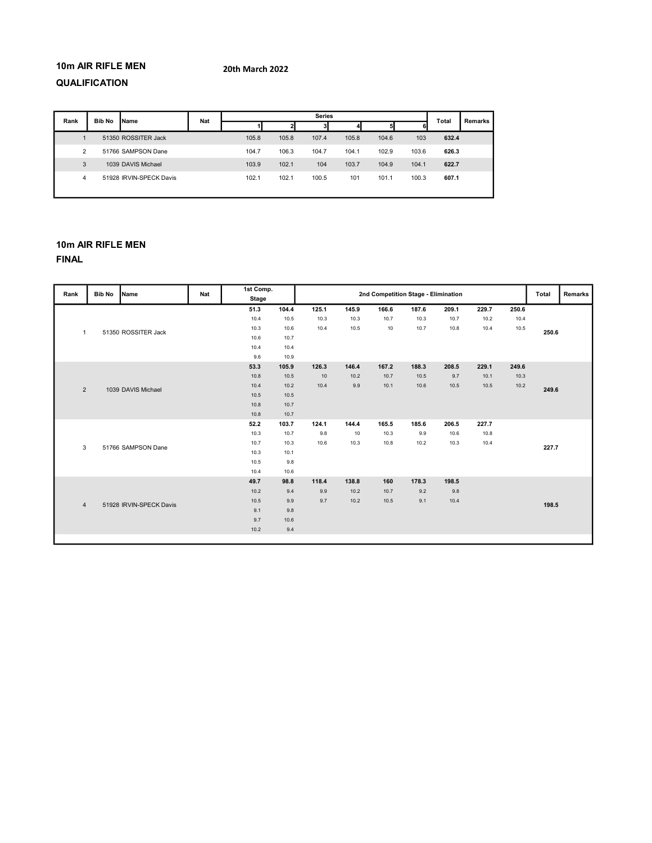# 10m AIR RIFLE MEN

### 20th March 2022

# QUALIFICATION

| Rank           | <b>Bib No</b> | Name                    | Nat |       |       | <b>Series</b> |       |       |       | Total | Remarks |
|----------------|---------------|-------------------------|-----|-------|-------|---------------|-------|-------|-------|-------|---------|
|                |               |                         |     |       |       | 31            |       | ы     | 6     |       |         |
|                |               | 51350 ROSSITER Jack     |     | 105.8 | 105.8 | 107.4         | 105.8 | 104.6 | 103   | 632.4 |         |
| $\overline{2}$ |               | 51766 SAMPSON Dane      |     | 104.7 | 106.3 | 104.7         | 104.1 | 102.9 | 103.6 | 626.3 |         |
| 3              |               | 1039 DAVIS Michael      |     | 103.9 | 102.1 | 104           | 103.7 | 104.9 | 104.1 | 622.7 |         |
| 4              |               | 51928 IRVIN-SPECK Davis |     | 102.1 | 102.1 | 100.5         | 101   | 101.1 | 100.3 | 607.1 |         |
|                |               |                         |     |       |       |               |       |       |       |       |         |

# 10m AIR RIFLE MEN

| Rank         | <b>Bib No</b>                             | Name                | <b>Nat</b> | 1st Comp.    |       |       |       | 2nd Competition Stage - Elimination |       |       |       |       | Total | Remarks |
|--------------|-------------------------------------------|---------------------|------------|--------------|-------|-------|-------|-------------------------------------|-------|-------|-------|-------|-------|---------|
|              |                                           |                     |            | <b>Stage</b> |       |       |       |                                     |       |       |       |       |       |         |
|              |                                           |                     |            | 51.3         | 104.4 | 125.1 | 145.9 | 166.6                               | 187.6 | 209.1 | 229.7 | 250.6 |       |         |
|              |                                           |                     |            | 10.4         | 10.5  | 10.3  | 10.3  | 10.7                                | 10.3  | 10.7  | 10.2  | 10.4  |       |         |
| $\mathbf{1}$ |                                           | 51350 ROSSITER Jack |            | 10.3         | 10.6  | 10.4  | 10.5  | 10                                  | 10.7  | 10.8  | 10.4  | 10.5  | 250.6 |         |
|              |                                           |                     |            | 10.6         | 10.7  |       |       |                                     |       |       |       |       |       |         |
|              |                                           |                     |            | 10.4         | 10.4  |       |       |                                     |       |       |       |       |       |         |
|              |                                           |                     |            | 9.6          | 10.9  |       |       |                                     |       |       |       |       |       |         |
|              |                                           |                     |            | 53.3         | 105.9 | 126.3 | 146.4 | 167.2                               | 188.3 | 208.5 | 229.1 | 249.6 |       |         |
|              |                                           |                     |            | 10.8         | 10.5  | 10    | 10.2  | 10.7                                | 10.5  | 9.7   | 10.1  | 10.3  |       |         |
| 2            |                                           | 1039 DAVIS Michael  |            | 10.4         | 10.2  | 10.4  | 9.9   | 10.1                                | 10.6  | 10.5  | 10.5  | 10.2  | 249.6 |         |
|              |                                           |                     |            | 10.5         | 10.5  |       |       |                                     |       |       |       |       |       |         |
|              |                                           |                     |            | 10.8         | 10.7  |       |       |                                     |       |       |       |       |       |         |
|              |                                           |                     |            | 10.8         | 10.7  |       |       |                                     |       |       |       |       |       |         |
|              |                                           |                     |            | 52.2         | 103.7 | 124.1 | 144.4 | 165.5                               | 185.6 | 206.5 | 227.7 |       |       |         |
|              |                                           |                     |            | 10.3         | 10.7  | 9.8   | 10    | 10.3                                | 9.9   | 10.6  | 10.8  |       |       |         |
| 3            |                                           | 51766 SAMPSON Dane  |            | 10.7         | 10.3  | 10.6  | 10.3  | 10.8                                | 10.2  | 10.3  | 10.4  |       | 227.7 |         |
|              |                                           |                     |            | 10.3         | 10.1  |       |       |                                     |       |       |       |       |       |         |
|              |                                           |                     |            | 10.5         | 9.8   |       |       |                                     |       |       |       |       |       |         |
|              |                                           |                     |            | 10.4         | 10.6  |       |       |                                     |       |       |       |       |       |         |
|              |                                           |                     |            | 49.7         | 98.8  | 118.4 | 138.8 | 160                                 | 178.3 | 198.5 |       |       |       |         |
|              |                                           |                     |            | 10.2         | 9.4   | 9.9   | 10.2  | 10.7                                | 9.2   | 9.8   |       |       |       |         |
|              | 51928 IRVIN-SPECK Davis<br>$\overline{4}$ |                     | 10.5       | 9.9          | 9.7   | 10.2  | 10.5  | 9.1                                 | 10.4  |       |       | 198.5 |       |         |
|              |                                           |                     | 9.1        | 9.8          |       |       |       |                                     |       |       |       |       |       |         |
|              |                                           |                     | 9.7        | 10.6         |       |       |       |                                     |       |       |       |       |       |         |
|              |                                           |                     |            | 10.2         | 9.4   |       |       |                                     |       |       |       |       |       |         |
|              |                                           |                     |            |              |       |       |       |                                     |       |       |       |       |       |         |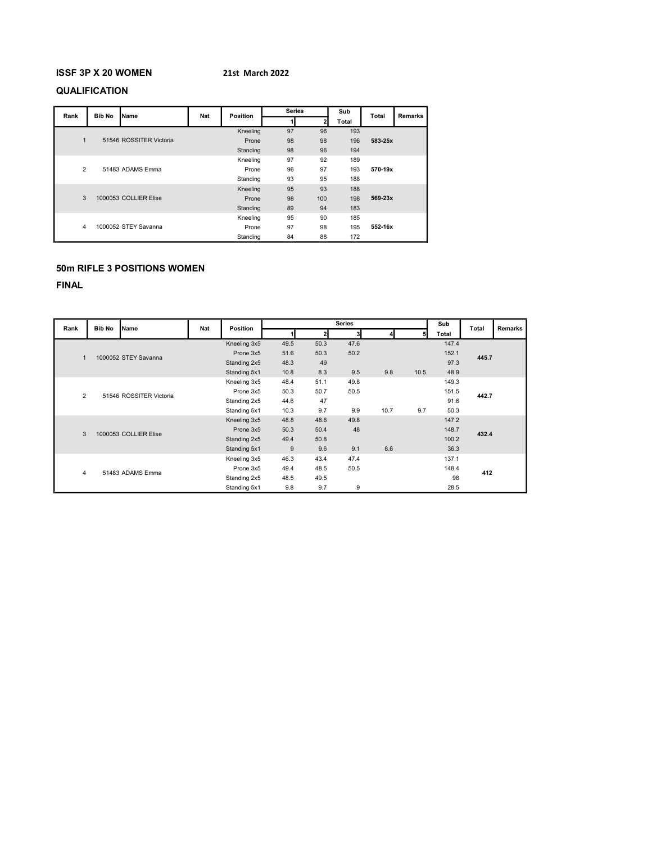# ISSF 3P X 20 WOMEN

### 21st March 2022

# QUALIFICATION

| Rank         | <b>Bib No</b> | Name                    | Nat | <b>Position</b> | <b>Series</b> |     | Sub   | <b>Total</b> | <b>Remarks</b> |
|--------------|---------------|-------------------------|-----|-----------------|---------------|-----|-------|--------------|----------------|
|              |               |                         |     |                 |               |     | Total |              |                |
|              |               |                         |     | Kneeling        | 97            | 96  | 193   |              |                |
| $\mathbf{1}$ |               | 51546 ROSSITER Victoria |     | Prone           | 98            | 98  | 196   | 583-25x      |                |
|              |               |                         |     | Standing        | 98            | 96  | 194   |              |                |
|              |               |                         |     | Kneeling        | 97            | 92  | 189   |              |                |
| 2            |               | 51483 ADAMS Emma        |     | Prone           | 96            | 97  | 193   | 570-19x      |                |
|              |               |                         |     | Standing        | 93            | 95  | 188   |              |                |
|              |               |                         |     | Kneeling        | 95            | 93  | 188   |              |                |
| 3            |               | 1000053 COLLIER Elise   |     | Prone           | 98            | 100 | 198   | 569-23x      |                |
|              |               |                         |     | Standing        | 89            | 94  | 183   |              |                |
|              |               |                         |     | Kneeling        | 95            | 90  | 185   |              |                |
| 4            |               | 1000052 STEY Savanna    |     | Prone           | 97            | 98  | 195   | 552-16x      |                |
|              |               |                         |     | Standing        | 84            | 88  | 172   |              |                |

# 50m RIFLE 3 POSITIONS WOMEN

| Rank           | <b>Bib No</b> | <b>Name</b>             | <b>Nat</b>           | <b>Position</b> |      |      | <b>Series</b> |      |      | Sub   | Total | Remarks |
|----------------|---------------|-------------------------|----------------------|-----------------|------|------|---------------|------|------|-------|-------|---------|
|                |               |                         |                      |                 |      |      | 31            |      | 51   | Total |       |         |
|                |               |                         |                      | Kneeling 3x5    | 49.5 | 50.3 | 47.6          |      |      | 147.4 |       |         |
| 1              |               | 1000052 STEY Savanna    |                      | Prone 3x5       | 51.6 | 50.3 | 50.2          |      |      | 152.1 | 445.7 |         |
|                |               |                         |                      | Standing 2x5    | 48.3 | 49   |               |      |      | 97.3  |       |         |
|                |               |                         |                      | Standing 5x1    | 10.8 | 8.3  | 9.5           | 9.8  | 10.5 | 48.9  |       |         |
|                |               |                         |                      | Kneeling 3x5    | 48.4 | 51.1 | 49.8          |      |      | 149.3 |       |         |
| $\overline{2}$ |               | 51546 ROSSITER Victoria |                      | Prone 3x5       | 50.3 | 50.7 | 50.5          |      |      | 151.5 | 442.7 |         |
|                |               |                         |                      | Standing 2x5    | 44.6 | 47   |               |      |      | 91.6  |       |         |
|                |               |                         |                      | Standing 5x1    | 10.3 | 9.7  | 9.9           | 10.7 | 9.7  | 50.3  |       |         |
|                |               |                         |                      | Kneeling 3x5    | 48.8 | 48.6 | 49.8          |      |      | 147.2 |       |         |
| 3              |               | 1000053 COLLIER Elise   |                      | Prone 3x5       | 50.3 | 50.4 | 48            |      |      | 148.7 | 432.4 |         |
|                |               |                         |                      | Standing 2x5    | 49.4 | 50.8 |               |      |      | 100.2 |       |         |
|                |               |                         |                      | Standing 5x1    | 9    | 9.6  | 9.1           | 8.6  |      | 36.3  |       |         |
|                |               |                         |                      | Kneeling 3x5    | 46.3 | 43.4 | 47.4          |      |      | 137.1 |       |         |
| $\overline{4}$ |               |                         |                      | Prone 3x5       | 49.4 | 48.5 | 50.5          |      |      | 148.4 | 412   |         |
|                |               | 51483 ADAMS Emma        | Standing 2x5<br>48.5 | 49.5            |      |      |               | 98   |      |       |       |         |
|                |               |                         |                      | Standing 5x1    | 9.8  | 9.7  | 9             |      |      | 28.5  |       |         |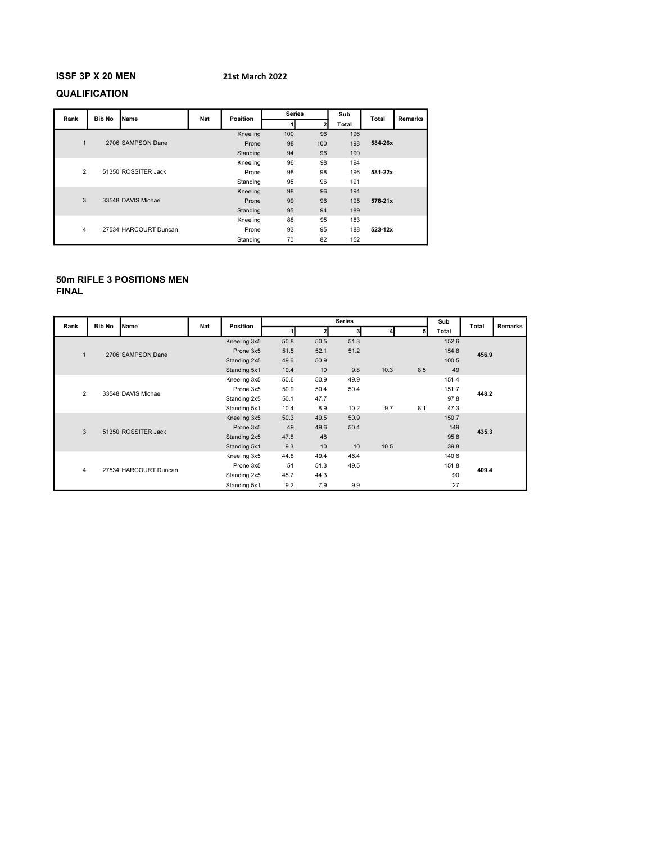# ISSF 3P X 20 MEN

### 21st March 2022

# QUALIFICATION

| Rank           | <b>Bib No</b> | Name                  | Nat | <b>Position</b> | <b>Series</b> |     | Sub   | <b>Total</b> | <b>Remarks</b> |
|----------------|---------------|-----------------------|-----|-----------------|---------------|-----|-------|--------------|----------------|
|                |               |                       |     |                 |               | 2   | Total |              |                |
|                |               |                       |     | Kneeling        | 100           | 96  | 196   |              |                |
| $\mathbf{1}$   |               | 2706 SAMPSON Dane     |     | Prone           | 98            | 100 | 198   | 584-26x      |                |
|                |               |                       |     | Standing        | 94            | 96  | 190   |              |                |
|                |               |                       |     | Kneeling        | 96            | 98  | 194   |              |                |
| $\overline{2}$ |               | 51350 ROSSITER Jack   |     | Prone           | 98            | 98  | 196   | 581-22x      |                |
|                |               |                       |     | Standing        | 95            | 96  | 191   |              |                |
|                |               |                       |     | Kneeling        | 98            | 96  | 194   |              |                |
| 3              |               | 33548 DAVIS Michael   |     | Prone           | 99            | 96  | 195   | $578 - 21x$  |                |
|                |               |                       |     | Standing        | 95            | 94  | 189   |              |                |
|                |               |                       |     | Kneeling        | 88            | 95  | 183   |              |                |
| 4              |               | 27534 HARCOURT Duncan |     | Prone           | 93            | 95  | 188   | 523-12x      |                |
|                |               |                       |     | Standing        | 70            | 82  | 152   |              |                |

# 50m RIFLE 3 POSITIONS MEN

| Rank           | <b>Bib No</b> | Name                  | <b>Nat</b> | Position     |      |      | <b>Series</b> |      |     | Sub   | Total | Remarks |
|----------------|---------------|-----------------------|------------|--------------|------|------|---------------|------|-----|-------|-------|---------|
|                |               |                       |            |              |      |      | 3             |      |     | Total |       |         |
|                |               |                       |            | Kneeling 3x5 | 50.8 | 50.5 | 51.3          |      |     | 152.6 |       |         |
| $\overline{1}$ |               | 2706 SAMPSON Dane     |            | Prone 3x5    | 51.5 | 52.1 | 51.2          |      |     | 154.8 | 456.9 |         |
|                |               |                       |            | Standing 2x5 | 49.6 | 50.9 |               |      |     | 100.5 |       |         |
|                |               |                       |            | Standing 5x1 | 10.4 | 10   | 9.8           | 10.3 | 8.5 | 49    |       |         |
|                |               |                       |            | Kneeling 3x5 | 50.6 | 50.9 | 49.9          |      |     | 151.4 |       |         |
| $\overline{2}$ |               | 33548 DAVIS Michael   |            | Prone 3x5    | 50.9 | 50.4 | 50.4          |      |     | 151.7 | 448.2 |         |
|                |               |                       |            | Standing 2x5 | 50.1 | 47.7 |               |      |     | 97.8  |       |         |
|                |               |                       |            | Standing 5x1 | 10.4 | 8.9  | 10.2          | 9.7  | 8.1 | 47.3  |       |         |
|                |               |                       |            | Kneeling 3x5 | 50.3 | 49.5 | 50.9          |      |     | 150.7 |       |         |
| 3              |               | 51350 ROSSITER Jack   |            | Prone 3x5    | 49   | 49.6 | 50.4          |      |     | 149   | 435.3 |         |
|                |               |                       |            | Standing 2x5 | 47.8 | 48   |               |      |     | 95.8  |       |         |
|                |               |                       |            | Standing 5x1 | 9.3  | 10   | 10            | 10.5 |     | 39.8  |       |         |
|                |               |                       |            | Kneeling 3x5 | 44.8 | 49.4 | 46.4          |      |     | 140.6 |       |         |
| 4              |               |                       |            | Prone 3x5    | 51   | 51.3 | 49.5          |      |     | 151.8 | 409.4 |         |
|                |               | 27534 HARCOURT Duncan |            | Standing 2x5 | 45.7 | 44.3 |               |      |     | 90    |       |         |
|                |               |                       |            | Standing 5x1 | 9.2  | 7.9  | 9.9           |      |     | 27    |       |         |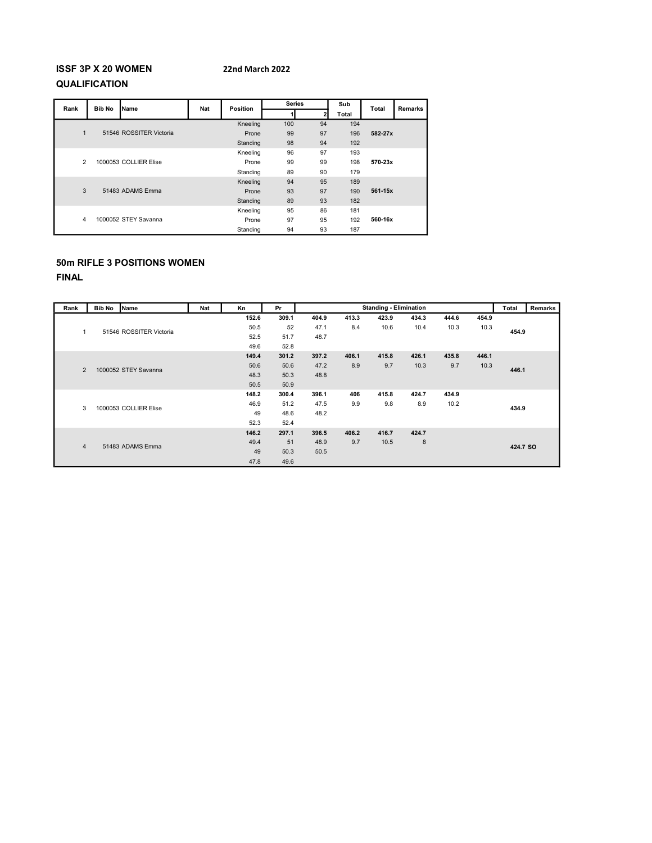# 22nd March 2022

# ISSF 3P X 20 WOMEN QUALIFICATION

| Rank           | <b>Bib No</b> | Name                    | Nat | Position | <b>Series</b> |              | Sub   | Total   | <b>Remarks</b> |
|----------------|---------------|-------------------------|-----|----------|---------------|--------------|-------|---------|----------------|
|                |               |                         |     |          |               | $\mathbf{2}$ | Total |         |                |
|                |               |                         |     | Kneeling | 100           | 94           | 194   |         |                |
| $\mathbf{1}$   |               | 51546 ROSSITER Victoria |     | Prone    | 99            | 97           | 196   | 582-27x |                |
|                |               |                         |     | Standing | 98            | 94           | 192   |         |                |
|                |               |                         |     | Kneeling | 96            | 97           | 193   |         |                |
| $\overline{2}$ |               | 1000053 COLLIER Elise   |     | Prone    | 99            | 99           | 198   | 570-23x |                |
|                |               |                         |     | Standing | 89            | 90           | 179   |         |                |
|                |               |                         |     | Kneeling | 94            | 95           | 189   |         |                |
| 3              |               | 51483 ADAMS Emma        |     | Prone    | 93            | 97           | 190   | 561-15x |                |
|                |               |                         |     | Standing | 89            | 93           | 182   |         |                |
|                |               |                         |     | Kneeling | 95            | 86           | 181   |         |                |
| 4              |               | 1000052 STEY Savanna    |     | Prone    | 97            | 95           | 192   | 560-16x |                |
|                |               |                         |     | Standing | 94            | 93           | 187   |         |                |

# 50m RIFLE 3 POSITIONS WOMEN

| Rank           | <b>Bib No</b> | Name                    | <b>Nat</b>           | Kn    | Pr    |       |       | <b>Standing - Elimination</b> |       |       |       | Total    | <b>Remarks</b> |  |
|----------------|---------------|-------------------------|----------------------|-------|-------|-------|-------|-------------------------------|-------|-------|-------|----------|----------------|--|
|                |               |                         |                      | 152.6 | 309.1 | 404.9 | 413.3 | 423.9                         | 434.3 | 444.6 | 454.9 |          |                |  |
| $\mathbf{1}$   |               | 51546 ROSSITER Victoria |                      | 50.5  | 52    | 47.1  | 8.4   | 10.6                          | 10.4  | 10.3  | 10.3  | 454.9    |                |  |
|                |               |                         |                      | 52.5  | 51.7  | 48.7  |       |                               |       |       |       |          |                |  |
|                |               |                         |                      | 49.6  | 52.8  |       |       |                               |       |       |       |          |                |  |
|                |               |                         |                      | 149.4 | 301.2 | 397.2 | 406.1 | 415.8                         | 426.1 | 435.8 | 446.1 |          |                |  |
| $\overline{2}$ |               |                         | 1000052 STEY Savanna |       | 50.6  | 50.6  | 47.2  | 8.9                           | 9.7   | 10.3  | 9.7   | 10.3     | 446.1          |  |
|                |               |                         |                      | 48.3  | 50.3  | 48.8  |       |                               |       |       |       |          |                |  |
|                |               |                         |                      | 50.5  | 50.9  |       |       |                               |       |       |       |          |                |  |
|                |               |                         |                      | 148.2 | 300.4 | 396.1 | 406   | 415.8                         | 424.7 | 434.9 |       |          |                |  |
| 3              |               | 1000053 COLLIER Elise   |                      | 46.9  | 51.2  | 47.5  | 9.9   | 9.8                           | 8.9   | 10.2  |       |          |                |  |
|                |               |                         |                      | 49    | 48.6  | 48.2  |       |                               |       |       |       | 434.9    |                |  |
|                |               |                         |                      | 52.3  | 52.4  |       |       |                               |       |       |       |          |                |  |
|                |               |                         |                      | 146.2 | 297.1 | 396.5 | 406.2 | 416.7                         | 424.7 |       |       |          |                |  |
| $\overline{4}$ |               | 51483 ADAMS Emma        |                      | 49.4  | 51    | 48.9  | 9.7   | 10.5                          | 8     |       |       | 424.7 SO |                |  |
|                |               |                         |                      | 49    | 50.3  | 50.5  |       |                               |       |       |       |          |                |  |
|                |               |                         |                      | 47.8  | 49.6  |       |       |                               |       |       |       |          |                |  |